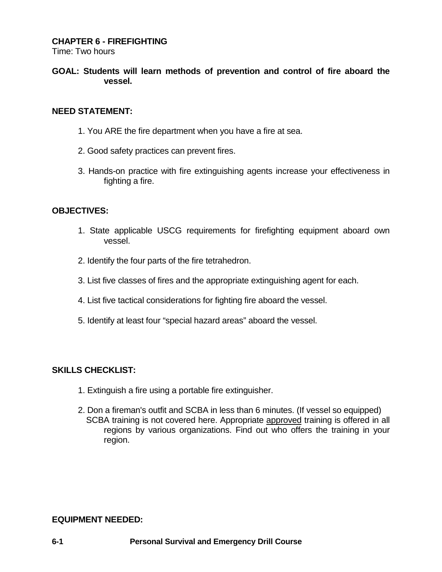## **CHAPTER 6 - FIREFIGHTING**

Time: Two hours

## **GOAL: Students will learn methods of prevention and control of fire aboard the vessel.**

#### **NEED STATEMENT:**

- 1. You ARE the fire department when you have a fire at sea.
- 2. Good safety practices can prevent fires.
- 3. Hands-on practice with fire extinguishing agents increase your effectiveness in fighting a fire.

#### **OBJECTIVES:**

- 1. State applicable USCG requirements for firefighting equipment aboard own vessel.
- 2. Identify the four parts of the fire tetrahedron.
- 3. List five classes of fires and the appropriate extinguishing agent for each.
- 4. List five tactical considerations for fighting fire aboard the vessel.
- 5. Identify at least four "special hazard areas" aboard the vessel.

## **SKILLS CHECKLIST:**

- 1. Extinguish a fire using a portable fire extinguisher.
- 2. Don a fireman's outfit and SCBA in less than 6 minutes. (If vessel so equipped) SCBA training is not covered here. Appropriate approved training is offered in all regions by various organizations. Find out who offers the training in your region.

#### **EQUIPMENT NEEDED:**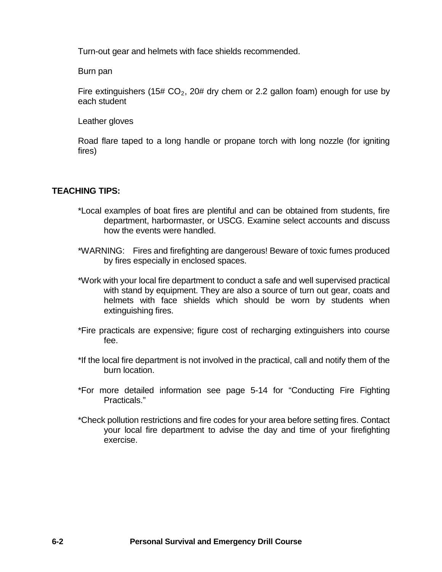Turn-out gear and helmets with face shields recommended.

Burn pan

Fire extinguishers (15#  $CO<sub>2</sub>$ , 20# dry chem or 2.2 gallon foam) enough for use by each student

Leather gloves

Road flare taped to a long handle or propane torch with long nozzle (for igniting fires)

#### **TEACHING TIPS:**

- \*Local examples of boat fires are plentiful and can be obtained from students, fire department, harbormaster, or USCG. Examine select accounts and discuss how the events were handled.
- \*WARNING: Fires and firefighting are dangerous! Beware of toxic fumes produced by fires especially in enclosed spaces.
- \*Work with your local fire department to conduct a safe and well supervised practical with stand by equipment. They are also a source of turn out gear, coats and helmets with face shields which should be worn by students when extinguishing fires.
- \*Fire practicals are expensive; figure cost of recharging extinguishers into course fee.
- \*If the local fire department is not involved in the practical, call and notify them of the burn location.
- \*For more detailed information see page 5-14 for "Conducting Fire Fighting Practicals."
- \*Check pollution restrictions and fire codes for your area before setting fires. Contact your local fire department to advise the day and time of your firefighting exercise.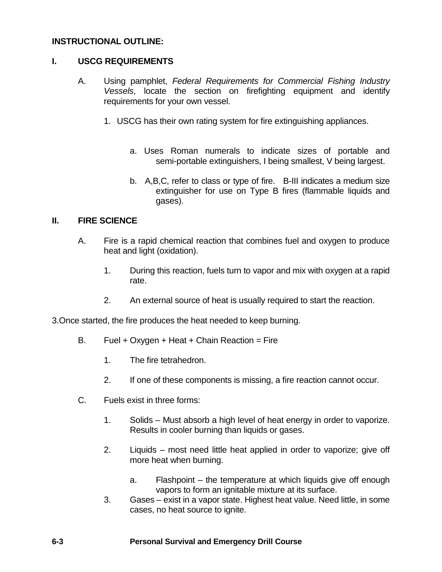## **INSTRUCTIONAL OUTLINE:**

## **I. USCG REQUIREMENTS**

- A. Using pamphlet, *Federal Requirements for Commercial Fishing Industry Vessels*, locate the section on firefighting equipment and identify requirements for your own vessel.
	- 1. USCG has their own rating system for fire extinguishing appliances.
		- a. Uses Roman numerals to indicate sizes of portable and semi-portable extinguishers, I being smallest, V being largest.
		- b. A,B,C, refer to class or type of fire. B-III indicates a medium size extinguisher for use on Type B fires (flammable liquids and gases).

## **II. FIRE SCIENCE**

- A. Fire is a rapid chemical reaction that combines fuel and oxygen to produce heat and light (oxidation).
	- 1. During this reaction, fuels turn to vapor and mix with oxygen at a rapid rate.
	- 2. An external source of heat is usually required to start the reaction.

3.Once started, the fire produces the heat needed to keep burning.

- B. Fuel + Oxygen + Heat + Chain Reaction = Fire
	- 1. The fire tetrahedron.
	- 2. If one of these components is missing, a fire reaction cannot occur.
- C. Fuels exist in three forms:
	- 1. Solids Must absorb a high level of heat energy in order to vaporize. Results in cooler burning than liquids or gases.
	- 2. Liquids most need little heat applied in order to vaporize; give off more heat when burning.
		- a. Flashpoint the temperature at which liquids give off enough vapors to form an ignitable mixture at its surface.
	- 3. Gases exist in a vapor state. Highest heat value. Need little, in some cases, no heat source to ignite.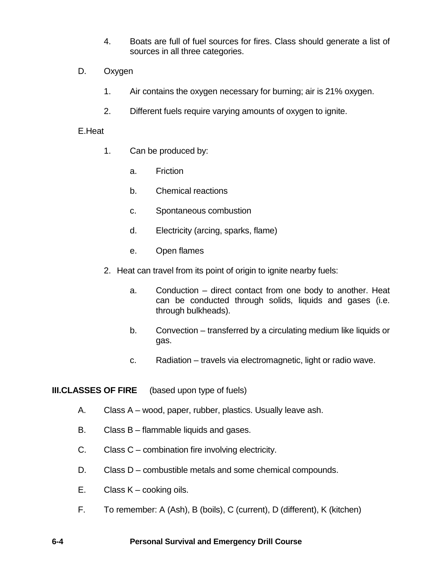- 4. Boats are full of fuel sources for fires. Class should generate a list of sources in all three categories.
- D. Oxygen
	- 1. Air contains the oxygen necessary for burning; air is 21% oxygen.
	- 2. Different fuels require varying amounts of oxygen to ignite.

#### E.Heat

- 1. Can be produced by:
	- a. Friction
	- b. Chemical reactions
	- c. Spontaneous combustion
	- d. Electricity (arcing, sparks, flame)
	- e. Open flames
- 2. Heat can travel from its point of origin to ignite nearby fuels:
	- a. Conduction direct contact from one body to another. Heat can be conducted through solids, liquids and gases (i.e. through bulkheads).
	- b. Convection transferred by a circulating medium like liquids or gas.
	- c. Radiation travels via electromagnetic, light or radio wave.

**III.CLASSES OF FIRE** (based upon type of fuels)

- A. Class A wood, paper, rubber, plastics. Usually leave ash.
- B. Class B flammable liquids and gases.
- C. Class C combination fire involving electricity.
- D. Class D combustible metals and some chemical compounds.
- E. Class K cooking oils.
- F. To remember: A (Ash), B (boils), C (current), D (different), K (kitchen)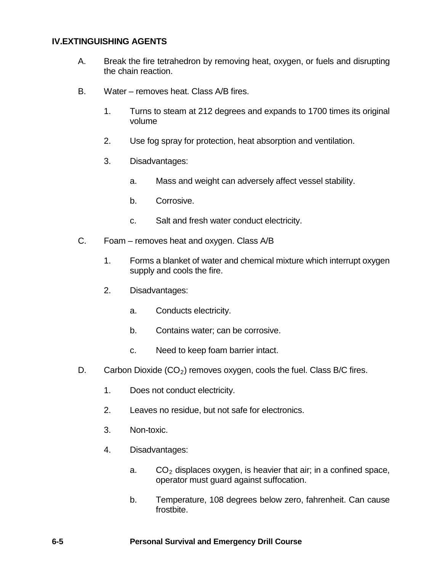#### **IV.EXTINGUISHING AGENTS**

- A. Break the fire tetrahedron by removing heat, oxygen, or fuels and disrupting the chain reaction.
- B. Water removes heat. Class A/B fires.
	- 1. Turns to steam at 212 degrees and expands to 1700 times its original volume
	- 2. Use fog spray for protection, heat absorption and ventilation.
	- 3. Disadvantages:
		- a. Mass and weight can adversely affect vessel stability.
		- b. Corrosive.
		- c. Salt and fresh water conduct electricity.
- C. Foam removes heat and oxygen. Class A/B
	- 1. Forms a blanket of water and chemical mixture which interrupt oxygen supply and cools the fire.
	- 2. Disadvantages:
		- a. Conducts electricity.
		- b. Contains water; can be corrosive.
		- c. Need to keep foam barrier intact.
- D. Carbon Dioxide  $(CO<sub>2</sub>)$  removes oxygen, cools the fuel. Class B/C fires.
	- 1. Does not conduct electricity.
	- 2. Leaves no residue, but not safe for electronics.
	- 3. Non-toxic.
	- 4. Disadvantages:
		- a.  $CO<sub>2</sub>$  displaces oxygen, is heavier that air; in a confined space, operator must guard against suffocation.
		- b. Temperature, 108 degrees below zero, fahrenheit. Can cause frostbite.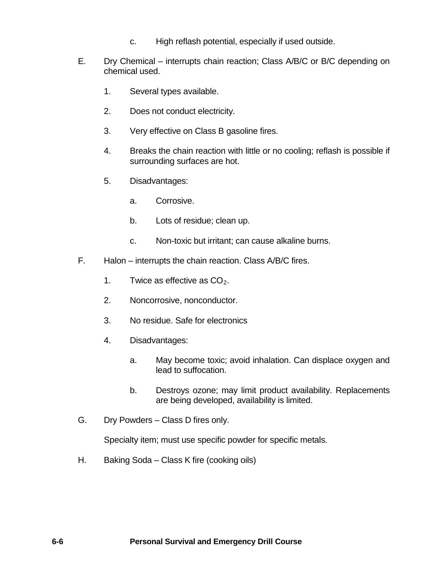- c. High reflash potential, especially if used outside.
- E. Dry Chemical interrupts chain reaction; Class A/B/C or B/C depending on chemical used.
	- 1. Several types available.
	- 2. Does not conduct electricity.
	- 3. Very effective on Class B gasoline fires.
	- 4. Breaks the chain reaction with little or no cooling; reflash is possible if surrounding surfaces are hot.
	- 5. Disadvantages:
		- a. Corrosive.
		- b. Lots of residue; clean up.
		- c. Non-toxic but irritant; can cause alkaline burns.
- F. Halon interrupts the chain reaction. Class A/B/C fires.
	- 1. Twice as effective as  $CO<sub>2</sub>$ .
	- 2. Noncorrosive, nonconductor.
	- 3. No residue. Safe for electronics
	- 4. Disadvantages:
		- a. May become toxic; avoid inhalation. Can displace oxygen and lead to suffocation.
		- b. Destroys ozone; may limit product availability. Replacements are being developed, availability is limited.
- G. Dry Powders Class D fires only.

Specialty item; must use specific powder for specific metals.

H. Baking Soda – Class K fire (cooking oils)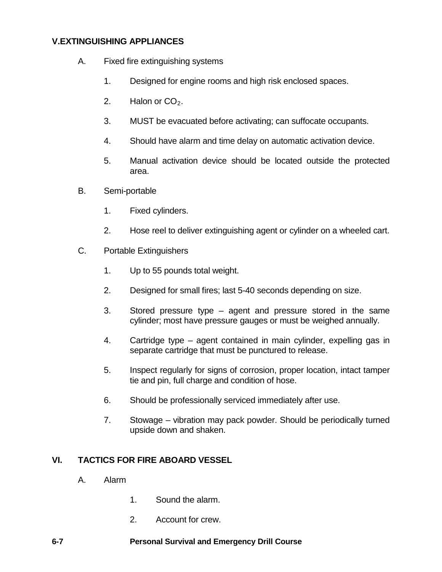# **V.EXTINGUISHING APPLIANCES**

- A. Fixed fire extinguishing systems
	- 1. Designed for engine rooms and high risk enclosed spaces.
	- 2. Halon or  $CO<sub>2</sub>$ .
	- 3. MUST be evacuated before activating; can suffocate occupants.
	- 4. Should have alarm and time delay on automatic activation device.
	- 5. Manual activation device should be located outside the protected area.
- B. Semi-portable
	- 1. Fixed cylinders.
	- 2. Hose reel to deliver extinguishing agent or cylinder on a wheeled cart.
- C. Portable Extinguishers
	- 1. Up to 55 pounds total weight.
	- 2. Designed for small fires; last 5-40 seconds depending on size.
	- 3. Stored pressure type agent and pressure stored in the same cylinder; most have pressure gauges or must be weighed annually.
	- 4. Cartridge type agent contained in main cylinder, expelling gas in separate cartridge that must be punctured to release.
	- 5. Inspect regularly for signs of corrosion, proper location, intact tamper tie and pin, full charge and condition of hose.
	- 6. Should be professionally serviced immediately after use.
	- 7. Stowage vibration may pack powder. Should be periodically turned upside down and shaken.

## **VI. TACTICS FOR FIRE ABOARD VESSEL**

- A. Alarm
	- 1. Sound the alarm.
	- 2. Account for crew.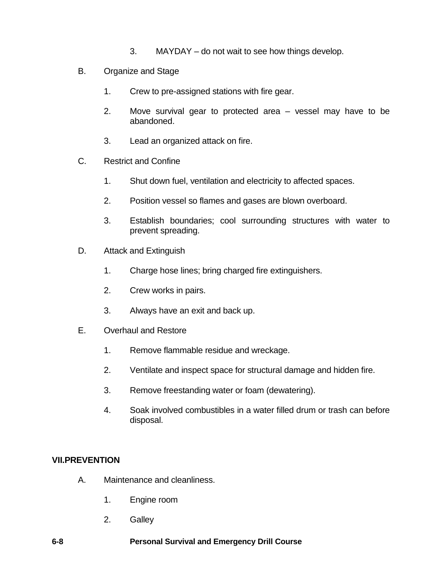- 3. MAYDAY do not wait to see how things develop.
- B. Organize and Stage
	- 1. Crew to pre-assigned stations with fire gear.
	- 2. Move survival gear to protected area vessel may have to be abandoned.
	- 3. Lead an organized attack on fire.
- C. Restrict and Confine
	- 1. Shut down fuel, ventilation and electricity to affected spaces.
	- 2. Position vessel so flames and gases are blown overboard.
	- 3. Establish boundaries; cool surrounding structures with water to prevent spreading.
- D. Attack and Extinguish
	- 1. Charge hose lines; bring charged fire extinguishers.
	- 2. Crew works in pairs.
	- 3. Always have an exit and back up.
- E. Overhaul and Restore
	- 1. Remove flammable residue and wreckage.
	- 2. Ventilate and inspect space for structural damage and hidden fire.
	- 3. Remove freestanding water or foam (dewatering).
	- 4. Soak involved combustibles in a water filled drum or trash can before disposal.

# **VII.PREVENTION**

- A. Maintenance and cleanliness.
	- 1. Engine room
	- 2. Galley
- **6-8 Personal Survival and Emergency Drill Course**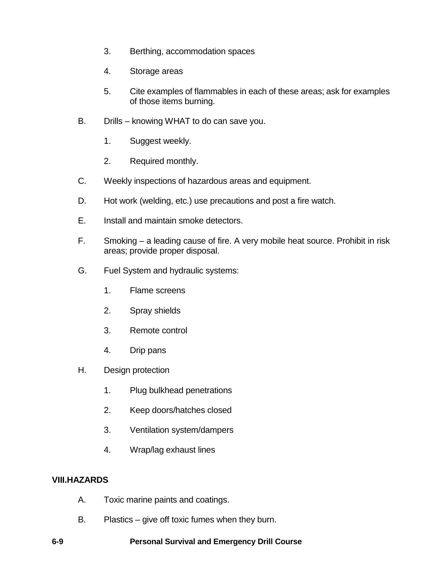- 3. Berthing, accommodation spaces
- 4. Storage areas
- 5. Cite examples of flammables in each of these areas; ask for examples of those items burning.
- B. Drills knowing WHAT to do can save you.
	- 1. Suggest weekly.
	- 2. Required monthly.
- C. Weekly inspections of hazardous areas and equipment.
- D. Hot work (welding, etc.) use precautions and post a fire watch.
- E. Install and maintain smoke detectors.
- F. Smoking a leading cause of fire. A very mobile heat source. Prohibit in risk areas; provide proper disposal.
- G. Fuel System and hydraulic systems:
	- 1. Flame screens
	- 2. Spray shields
	- 3. Remote control
	- 4. Drip pans
- H. Design protection
	- 1. Plug bulkhead penetrations
	- 2. Keep doors/hatches closed
	- 3. Ventilation system/dampers
	- 4. Wrap/lag exhaust lines

## **VIII.HAZARDS**

- A. Toxic marine paints and coatings.
- B. Plastics give off toxic fumes when they burn.
- **6-9 Personal Survival and Emergency Drill Course**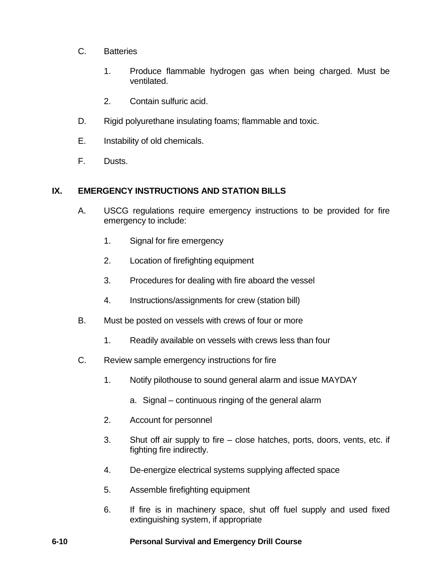- C. Batteries
	- 1. Produce flammable hydrogen gas when being charged. Must be ventilated.
	- 2. Contain sulfuric acid.
- D. Rigid polyurethane insulating foams; flammable and toxic.
- E. Instability of old chemicals.
- F. Dusts.

## **IX. EMERGENCY INSTRUCTIONS AND STATION BILLS**

- A. USCG regulations require emergency instructions to be provided for fire emergency to include:
	- 1. Signal for fire emergency
	- 2. Location of firefighting equipment
	- 3. Procedures for dealing with fire aboard the vessel
	- 4. Instructions/assignments for crew (station bill)
- B. Must be posted on vessels with crews of four or more
	- 1. Readily available on vessels with crews less than four
- C. Review sample emergency instructions for fire
	- 1. Notify pilothouse to sound general alarm and issue MAYDAY
		- a. Signal continuous ringing of the general alarm
	- 2. Account for personnel
	- 3. Shut off air supply to fire close hatches, ports, doors, vents, etc. if fighting fire indirectly.
	- 4. De-energize electrical systems supplying affected space
	- 5. Assemble firefighting equipment
	- 6. If fire is in machinery space, shut off fuel supply and used fixed extinguishing system, if appropriate

## **6-10 Personal Survival and Emergency Drill Course**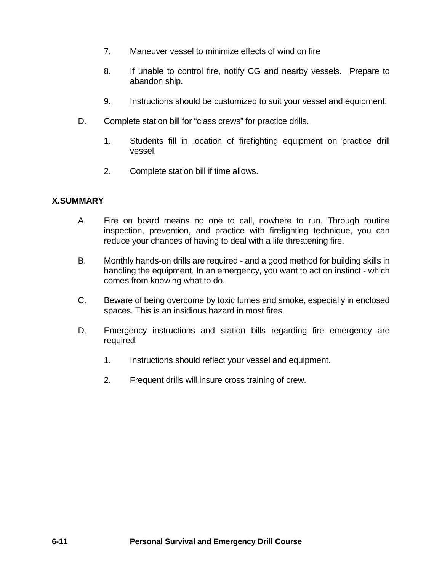- 7. Maneuver vessel to minimize effects of wind on fire
- 8. If unable to control fire, notify CG and nearby vessels. Prepare to abandon ship.
- 9. Instructions should be customized to suit your vessel and equipment.
- D. Complete station bill for "class crews" for practice drills.
	- 1. Students fill in location of firefighting equipment on practice drill vessel.
	- 2. Complete station bill if time allows.

# **X.SUMMARY**

- A. Fire on board means no one to call, nowhere to run. Through routine inspection, prevention, and practice with firefighting technique, you can reduce your chances of having to deal with a life threatening fire.
- B. Monthly hands-on drills are required and a good method for building skills in handling the equipment. In an emergency, you want to act on instinct - which comes from knowing what to do.
- C. Beware of being overcome by toxic fumes and smoke, especially in enclosed spaces. This is an insidious hazard in most fires.
- D. Emergency instructions and station bills regarding fire emergency are required.
	- 1. Instructions should reflect your vessel and equipment.
	- 2. Frequent drills will insure cross training of crew.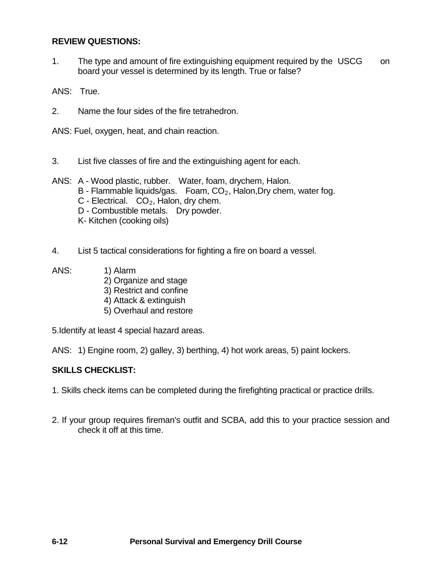## **REVIEW QUESTIONS:**

1. The type and amount of fire extinguishing equipment required by the USCG on board your vessel is determined by its length. True or false?

ANS: True.

2. Name the four sides of the fire tetrahedron.

ANS: Fuel, oxygen, heat, and chain reaction.

- 3. List five classes of fire and the extinguishing agent for each.
- ANS: A Wood plastic, rubber. Water, foam, drychem, Halon.
	- B Flammable liquids/gas. Foam,  $CO<sub>2</sub>$ , Halon, Dry chem, water fog.
	- C Electrical.  $CO<sub>2</sub>$ , Halon, dry chem.
	- D Combustible metals. Dry powder.
	- K- Kitchen (cooking oils)
- 4. List 5 tactical considerations for fighting a fire on board a vessel.
- ANS: 1) Alarm
	- 2) Organize and stage
	- 3) Restrict and confine
	- 4) Attack & extinguish
	- 5) Overhaul and restore

5.Identify at least 4 special hazard areas.

ANS: 1) Engine room, 2) galley, 3) berthing, 4) hot work areas, 5) paint lockers.

# **SKILLS CHECKLIST:**

- 1. Skills check items can be completed during the firefighting practical or practice drills.
- 2. If your group requires fireman's outfit and SCBA, add this to your practice session and check it off at this time.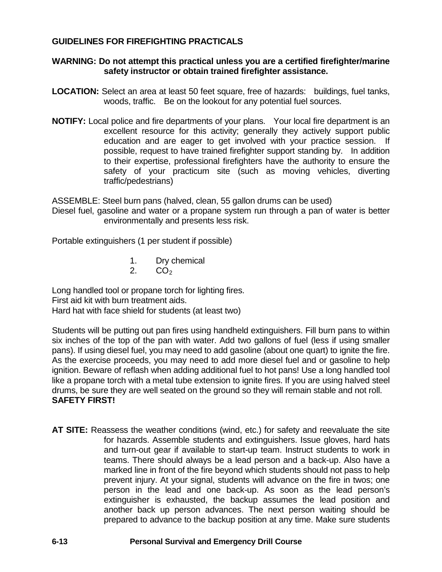## **GUIDELINES FOR FIREFIGHTING PRACTICALS**

#### **WARNING: Do not attempt this practical unless you are a certified firefighter/marine safety instructor or obtain trained firefighter assistance.**

- **LOCATION:** Select an area at least 50 feet square, free of hazards: buildings, fuel tanks, woods, traffic. Be on the lookout for any potential fuel sources.
- **NOTIFY:** Local police and fire departments of your plans. Your local fire department is an excellent resource for this activity; generally they actively support public education and are eager to get involved with your practice session. If possible, request to have trained firefighter support standing by. In addition to their expertise, professional firefighters have the authority to ensure the safety of your practicum site (such as moving vehicles, diverting traffic/pedestrians)

ASSEMBLE: Steel burn pans (halved, clean, 55 gallon drums can be used)

Diesel fuel, gasoline and water or a propane system run through a pan of water is better environmentally and presents less risk.

Portable extinguishers (1 per student if possible)

1. Dry chemical  $2.$  CO<sub>2</sub>

 $CO<sub>2</sub>$ 

Long handled tool or propane torch for lighting fires.

First aid kit with burn treatment aids.

Hard hat with face shield for students (at least two)

Students will be putting out pan fires using handheld extinguishers. Fill burn pans to within six inches of the top of the pan with water. Add two gallons of fuel (less if using smaller pans). If using diesel fuel, you may need to add gasoline (about one quart) to ignite the fire. As the exercise proceeds, you may need to add more diesel fuel and or gasoline to help ignition. Beware of reflash when adding additional fuel to hot pans! Use a long handled tool like a propane torch with a metal tube extension to ignite fires. If you are using halved steel drums, be sure they are well seated on the ground so they will remain stable and not roll. **SAFETY FIRST!**

**AT SITE:** Reassess the weather conditions (wind, etc.) for safety and reevaluate the site for hazards. Assemble students and extinguishers. Issue gloves, hard hats and turn-out gear if available to start-up team. Instruct students to work in teams. There should always be a lead person and a back-up. Also have a marked line in front of the fire beyond which students should not pass to help prevent injury. At your signal, students will advance on the fire in twos; one person in the lead and one back-up. As soon as the lead person's extinguisher is exhausted, the backup assumes the lead position and another back up person advances. The next person waiting should be prepared to advance to the backup position at any time. Make sure students